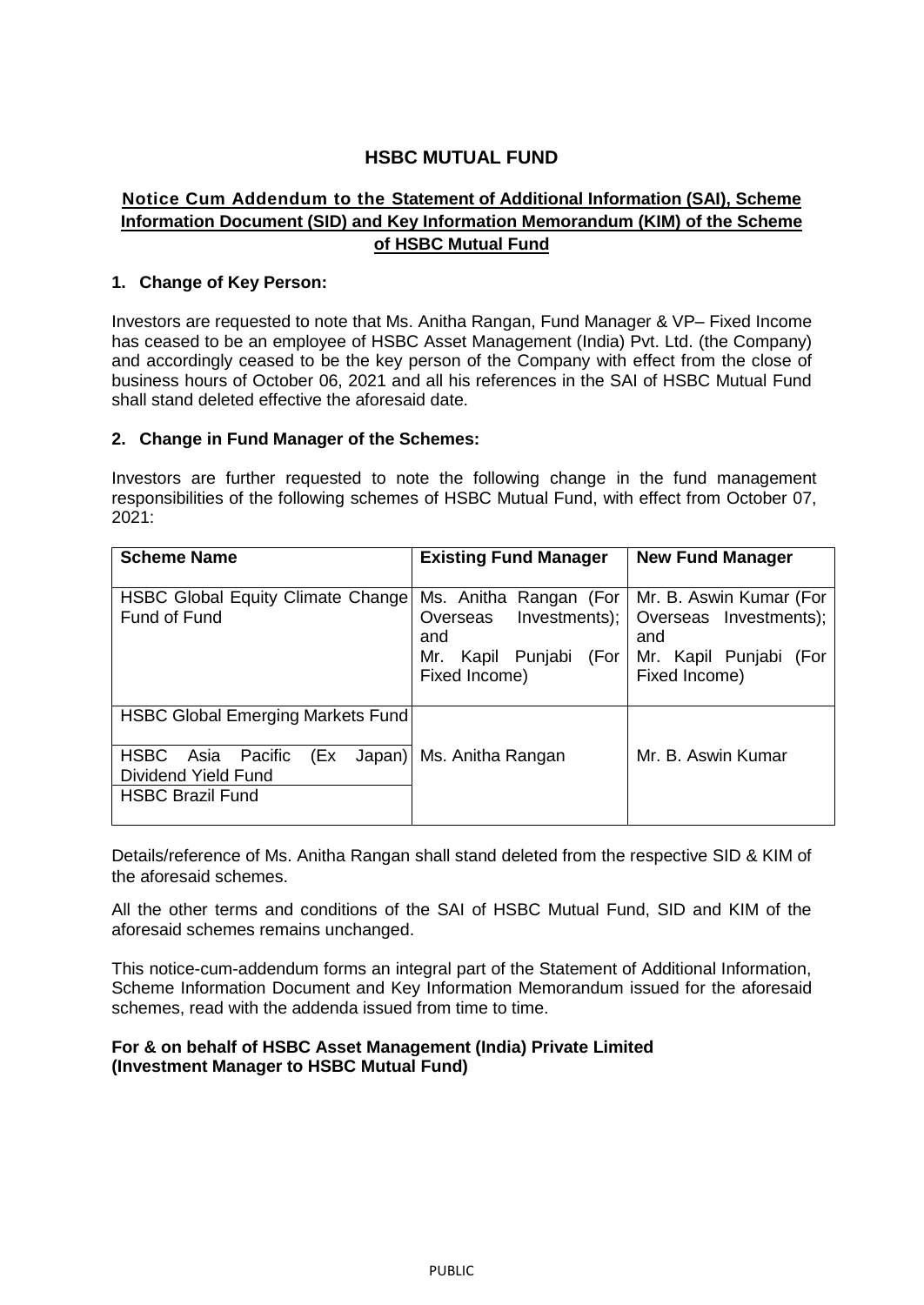# **HSBC MUTUAL FUND**

## **Notice Cum Addendum to the Statement of Additional Information (SAI), Scheme Information Document (SID) and Key Information Memorandum (KIM) of the Scheme of HSBC Mutual Fund**

## **1. Change of Key Person:**

Investors are requested to note that Ms. Anitha Rangan, Fund Manager & VP– Fixed Income has ceased to be an employee of HSBC Asset Management (India) Pvt. Ltd. (the Company) and accordingly ceased to be the key person of the Company with effect from the close of business hours of October 06, 2021 and all his references in the SAI of HSBC Mutual Fund shall stand deleted effective the aforesaid date.

### **2. Change in Fund Manager of the Schemes:**

Investors are further requested to note the following change in the fund management responsibilities of the following schemes of HSBC Mutual Fund, with effect from October 07, 2021:

| <b>Scheme Name</b>                                                                   | <b>Existing Fund Manager</b>                                                                                   | <b>New Fund Manager</b>                                                                  |
|--------------------------------------------------------------------------------------|----------------------------------------------------------------------------------------------------------------|------------------------------------------------------------------------------------------|
| <b>HSBC Global Equity Climate Change</b><br>Fund of Fund                             | Ms. Anitha Rangan (For   Mr. B. Aswin Kumar (For<br>Overseas<br>and<br>Mr. Kapil Punjabi (For<br>Fixed Income) | Investments);   Overseas Investments);<br>and<br>Mr. Kapil Punjabi (For<br>Fixed Income) |
| <b>HSBC Global Emerging Markets Fund</b>                                             |                                                                                                                |                                                                                          |
| <b>HSBC</b><br>Asia Pacific<br>(Ex<br>Dividend Yield Fund<br><b>HSBC Brazil Fund</b> | Japan) Ms. Anitha Rangan                                                                                       | Mr. B. Aswin Kumar                                                                       |

Details/reference of Ms. Anitha Rangan shall stand deleted from the respective SID & KIM of the aforesaid schemes.

All the other terms and conditions of the SAI of HSBC Mutual Fund, SID and KIM of the aforesaid schemes remains unchanged.

This notice-cum-addendum forms an integral part of the Statement of Additional Information, Scheme Information Document and Key Information Memorandum issued for the aforesaid schemes, read with the addenda issued from time to time.

### **For & on behalf of HSBC Asset Management (India) Private Limited (Investment Manager to HSBC Mutual Fund)**